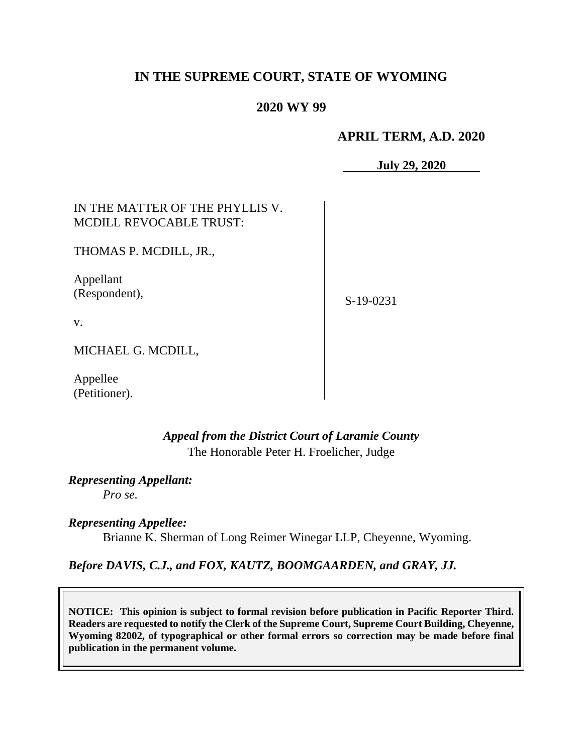# **IN THE SUPREME COURT, STATE OF WYOMING**

## **2020 WY 99**

### **APRIL TERM, A.D. 2020**

**July 29, 2020**

| IN THE MATTER OF THE PHYLLIS V.<br><b>MCDILL REVOCABLE TRUST:</b> |             |
|-------------------------------------------------------------------|-------------|
| THOMAS P. MCDILL, JR.,                                            |             |
| Appellant<br>(Respondent),                                        | $S-19-0231$ |
| V.                                                                |             |
| MICHAEL G. MCDILL,                                                |             |

Appellee (Petitioner).

# *Appeal from the District Court of Laramie County* The Honorable Peter H. Froelicher, Judge

*Representing Appellant:*

*Pro se.*

*Representing Appellee:* Brianne K. Sherman of Long Reimer Winegar LLP, Cheyenne, Wyoming.

### *Before DAVIS, C.J., and FOX, KAUTZ, BOOMGAARDEN, and GRAY, JJ.*

**NOTICE: This opinion is subject to formal revision before publication in Pacific Reporter Third. Readers are requested to notify the Clerk of the Supreme Court, Supreme Court Building, Cheyenne, Wyoming 82002, of typographical or other formal errors so correction may be made before final publication in the permanent volume.**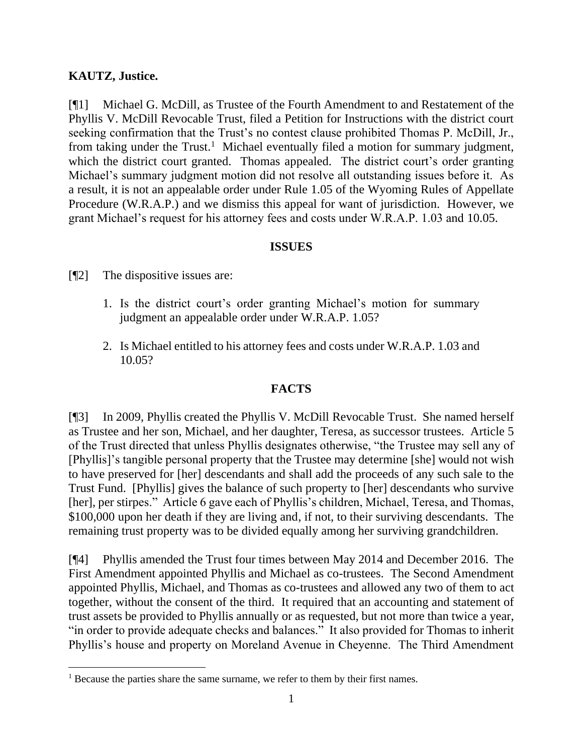## **KAUTZ, Justice.**

[¶1] Michael G. McDill, as Trustee of the Fourth Amendment to and Restatement of the Phyllis V. McDill Revocable Trust, filed a Petition for Instructions with the district court seeking confirmation that the Trust's no contest clause prohibited Thomas P. McDill, Jr., from taking under the Trust.<sup>1</sup> Michael eventually filed a motion for summary judgment, which the district court granted. Thomas appealed. The district court's order granting Michael's summary judgment motion did not resolve all outstanding issues before it. As a result, it is not an appealable order under Rule 1.05 of the Wyoming Rules of Appellate Procedure (W.R.A.P.) and we dismiss this appeal for want of jurisdiction. However, we grant Michael's request for his attorney fees and costs under W.R.A.P. 1.03 and 10.05.

### **ISSUES**

[¶2] The dispositive issues are:

- 1. Is the district court's order granting Michael's motion for summary judgment an appealable order under W.R.A.P. 1.05?
- 2. Is Michael entitled to his attorney fees and costs under W.R.A.P. 1.03 and 10.05?

## **FACTS**

[¶3] In 2009, Phyllis created the Phyllis V. McDill Revocable Trust. She named herself as Trustee and her son, Michael, and her daughter, Teresa, as successor trustees. Article 5 of the Trust directed that unless Phyllis designates otherwise, "the Trustee may sell any of [Phyllis]'s tangible personal property that the Trustee may determine [she] would not wish to have preserved for [her] descendants and shall add the proceeds of any such sale to the Trust Fund. [Phyllis] gives the balance of such property to [her] descendants who survive [her], per stirpes." Article 6 gave each of Phyllis's children, Michael, Teresa, and Thomas, \$100,000 upon her death if they are living and, if not, to their surviving descendants. The remaining trust property was to be divided equally among her surviving grandchildren.

[¶4] Phyllis amended the Trust four times between May 2014 and December 2016. The First Amendment appointed Phyllis and Michael as co-trustees. The Second Amendment appointed Phyllis, Michael, and Thomas as co-trustees and allowed any two of them to act together, without the consent of the third. It required that an accounting and statement of trust assets be provided to Phyllis annually or as requested, but not more than twice a year, "in order to provide adequate checks and balances." It also provided for Thomas to inherit Phyllis's house and property on Moreland Avenue in Cheyenne. The Third Amendment

<sup>&</sup>lt;sup>1</sup> Because the parties share the same surname, we refer to them by their first names.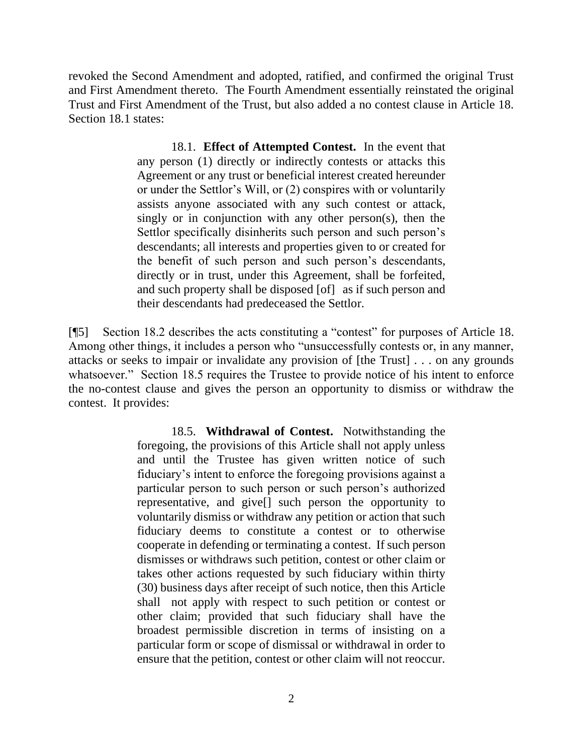revoked the Second Amendment and adopted, ratified, and confirmed the original Trust and First Amendment thereto. The Fourth Amendment essentially reinstated the original Trust and First Amendment of the Trust, but also added a no contest clause in Article 18. Section 18.1 states:

> 18.1. **Effect of Attempted Contest.** In the event that any person (1) directly or indirectly contests or attacks this Agreement or any trust or beneficial interest created hereunder or under the Settlor's Will, or (2) conspires with or voluntarily assists anyone associated with any such contest or attack, singly or in conjunction with any other person(s), then the Settlor specifically disinherits such person and such person's descendants; all interests and properties given to or created for the benefit of such person and such person's descendants, directly or in trust, under this Agreement, shall be forfeited, and such property shall be disposed [of] as if such person and their descendants had predeceased the Settlor.

[¶5] Section 18.2 describes the acts constituting a "contest" for purposes of Article 18. Among other things, it includes a person who "unsuccessfully contests or, in any manner, attacks or seeks to impair or invalidate any provision of [the Trust] . . . on any grounds whatsoever." Section 18.5 requires the Trustee to provide notice of his intent to enforce the no-contest clause and gives the person an opportunity to dismiss or withdraw the contest. It provides:

> 18.5. **Withdrawal of Contest.** Notwithstanding the foregoing, the provisions of this Article shall not apply unless and until the Trustee has given written notice of such fiduciary's intent to enforce the foregoing provisions against a particular person to such person or such person's authorized representative, and give[] such person the opportunity to voluntarily dismiss or withdraw any petition or action that such fiduciary deems to constitute a contest or to otherwise cooperate in defending or terminating a contest. If such person dismisses or withdraws such petition, contest or other claim or takes other actions requested by such fiduciary within thirty (30) business days after receipt of such notice, then this Article shall not apply with respect to such petition or contest or other claim; provided that such fiduciary shall have the broadest permissible discretion in terms of insisting on a particular form or scope of dismissal or withdrawal in order to ensure that the petition, contest or other claim will not reoccur.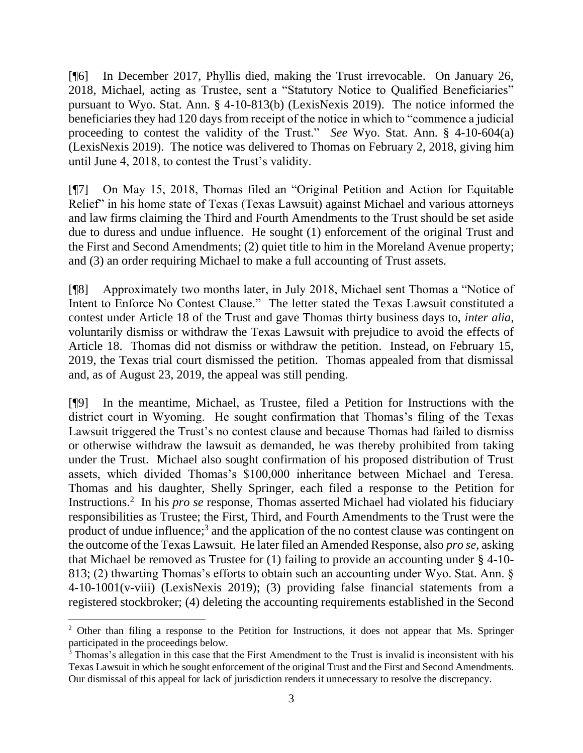[¶6] In December 2017, Phyllis died, making the Trust irrevocable. On January 26, 2018, Michael, acting as Trustee, sent a "Statutory Notice to Qualified Beneficiaries" pursuant to Wyo. Stat. Ann. § 4-10-813(b) (LexisNexis 2019). The notice informed the beneficiaries they had 120 days from receipt of the notice in which to "commence a judicial proceeding to contest the validity of the Trust." *See* Wyo. Stat. Ann. § 4-10-604(a) (LexisNexis 2019). The notice was delivered to Thomas on February 2, 2018, giving him until June 4, 2018, to contest the Trust's validity.

[¶7] On May 15, 2018, Thomas filed an "Original Petition and Action for Equitable Relief" in his home state of Texas (Texas Lawsuit) against Michael and various attorneys and law firms claiming the Third and Fourth Amendments to the Trust should be set aside due to duress and undue influence. He sought (1) enforcement of the original Trust and the First and Second Amendments; (2) quiet title to him in the Moreland Avenue property; and (3) an order requiring Michael to make a full accounting of Trust assets.

[¶8] Approximately two months later, in July 2018, Michael sent Thomas a "Notice of Intent to Enforce No Contest Clause." The letter stated the Texas Lawsuit constituted a contest under Article 18 of the Trust and gave Thomas thirty business days to, *inter alia*, voluntarily dismiss or withdraw the Texas Lawsuit with prejudice to avoid the effects of Article 18. Thomas did not dismiss or withdraw the petition. Instead, on February 15, 2019, the Texas trial court dismissed the petition. Thomas appealed from that dismissal and, as of August 23, 2019, the appeal was still pending.

[¶9] In the meantime, Michael, as Trustee, filed a Petition for Instructions with the district court in Wyoming. He sought confirmation that Thomas's filing of the Texas Lawsuit triggered the Trust's no contest clause and because Thomas had failed to dismiss or otherwise withdraw the lawsuit as demanded, he was thereby prohibited from taking under the Trust. Michael also sought confirmation of his proposed distribution of Trust assets, which divided Thomas's \$100,000 inheritance between Michael and Teresa. Thomas and his daughter, Shelly Springer, each filed a response to the Petition for Instructions.<sup>2</sup> In his *pro se* response, Thomas asserted Michael had violated his fiduciary responsibilities as Trustee; the First, Third, and Fourth Amendments to the Trust were the product of undue influence;<sup>3</sup> and the application of the no contest clause was contingent on the outcome of the Texas Lawsuit. He later filed an Amended Response, also *pro se*, asking that Michael be removed as Trustee for (1) failing to provide an accounting under § 4-10- 813; (2) thwarting Thomas's efforts to obtain such an accounting under Wyo. Stat. Ann. § 4-10-1001(v-viii) (LexisNexis 2019); (3) providing false financial statements from a registered stockbroker; (4) deleting the accounting requirements established in the Second

<sup>&</sup>lt;sup>2</sup> Other than filing a response to the Petition for Instructions, it does not appear that Ms. Springer participated in the proceedings below.

 $3$  Thomas's allegation in this case that the First Amendment to the Trust is invalid is inconsistent with his Texas Lawsuit in which he sought enforcement of the original Trust and the First and Second Amendments. Our dismissal of this appeal for lack of jurisdiction renders it unnecessary to resolve the discrepancy.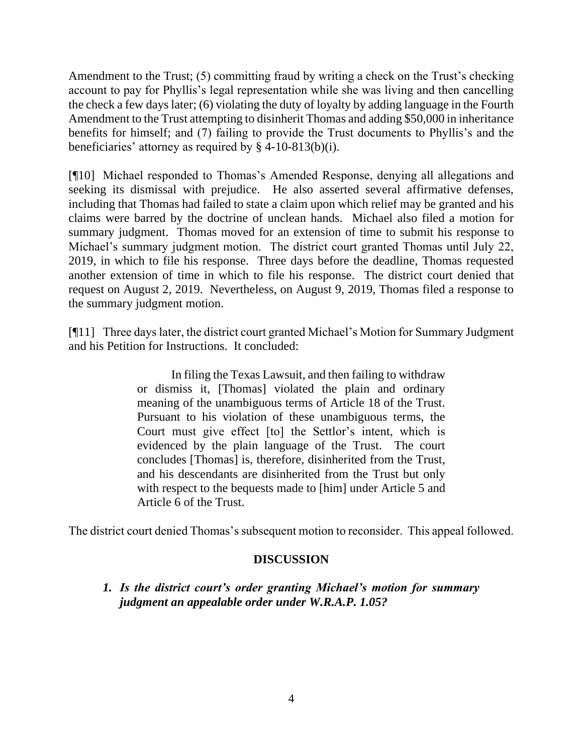Amendment to the Trust; (5) committing fraud by writing a check on the Trust's checking account to pay for Phyllis's legal representation while she was living and then cancelling the check a few days later; (6) violating the duty of loyalty by adding language in the Fourth Amendment to the Trust attempting to disinherit Thomas and adding \$50,000 in inheritance benefits for himself; and (7) failing to provide the Trust documents to Phyllis's and the beneficiaries' attorney as required by § 4-10-813(b)(i).

[¶10] Michael responded to Thomas's Amended Response, denying all allegations and seeking its dismissal with prejudice. He also asserted several affirmative defenses, including that Thomas had failed to state a claim upon which relief may be granted and his claims were barred by the doctrine of unclean hands. Michael also filed a motion for summary judgment. Thomas moved for an extension of time to submit his response to Michael's summary judgment motion. The district court granted Thomas until July 22, 2019, in which to file his response. Three days before the deadline, Thomas requested another extension of time in which to file his response. The district court denied that request on August 2, 2019. Nevertheless, on August 9, 2019, Thomas filed a response to the summary judgment motion.

[¶11] Three days later, the district court granted Michael's Motion for Summary Judgment and his Petition for Instructions. It concluded:

> In filing the Texas Lawsuit, and then failing to withdraw or dismiss it, [Thomas] violated the plain and ordinary meaning of the unambiguous terms of Article 18 of the Trust. Pursuant to his violation of these unambiguous terms, the Court must give effect [to] the Settlor's intent, which is evidenced by the plain language of the Trust. The court concludes [Thomas] is, therefore, disinherited from the Trust, and his descendants are disinherited from the Trust but only with respect to the bequests made to [him] under Article 5 and Article 6 of the Trust.

The district court denied Thomas's subsequent motion to reconsider. This appeal followed.

## **DISCUSSION**

*1. Is the district court's order granting Michael's motion for summary judgment an appealable order under W.R.A.P. 1.05?*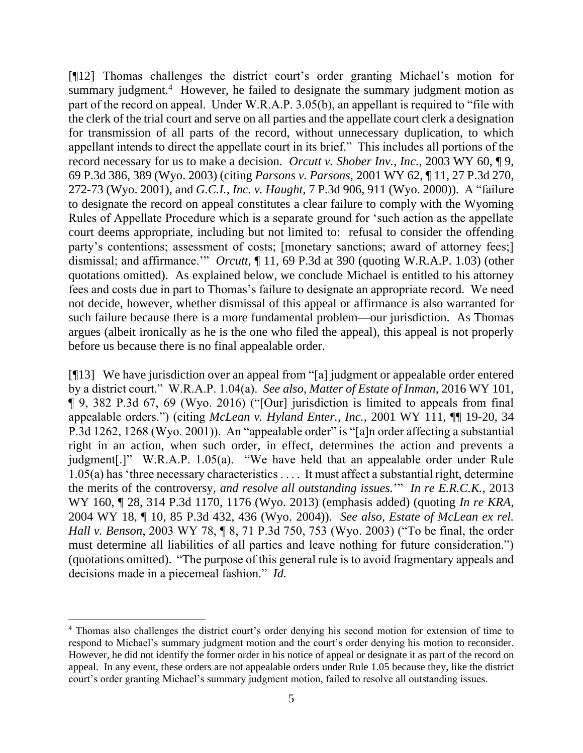[¶12] Thomas challenges the district court's order granting Michael's motion for summary judgment.<sup>4</sup> However, he failed to designate the summary judgment motion as part of the record on appeal. Under W.R.A.P. 3.05(b), an appellant is required to "file with the clerk of the trial court and serve on all parties and the appellate court clerk a designation for transmission of all parts of the record, without unnecessary duplication, to which appellant intends to direct the appellate court in its brief." This includes all portions of the record necessary for us to make a decision. *Orcutt v. Shober Inv., Inc.,* 2003 WY 60, ¶ 9, 69 P.3d 386, 389 (Wyo. 2003) (citing *Parsons v. Parsons,* 2001 WY 62, ¶ 11, 27 P.3d 270, 272-73 (Wyo. 2001), and *G.C.I., Inc. v. Haught,* 7 P.3d 906, 911 (Wyo. 2000)). A "failure to designate the record on appeal constitutes a clear failure to comply with the Wyoming Rules of Appellate Procedure which is a separate ground for 'such action as the appellate court deems appropriate, including but not limited to: refusal to consider the offending party's contentions; assessment of costs; [monetary sanctions; award of attorney fees;] dismissal; and affirmance.'" *Orcutt*, ¶ 11, 69 P.3d at 390 (quoting W.R.A.P. 1.03) (other quotations omitted). As explained below, we conclude Michael is entitled to his attorney fees and costs due in part to Thomas's failure to designate an appropriate record. We need not decide, however, whether dismissal of this appeal or affirmance is also warranted for such failure because there is a more fundamental problem—our jurisdiction. As Thomas argues (albeit ironically as he is the one who filed the appeal), this appeal is not properly before us because there is no final appealable order.

[¶13] We have jurisdiction over an appeal from "[a] judgment or appealable order entered by a district court." W.R.A.P. 1.04(a). *See also, Matter of Estate of Inman*, 2016 WY 101, ¶ 9, 382 P.3d 67, 69 (Wyo. 2016) ("[Our] jurisdiction is limited to appeals from final appealable orders.") (citing *McLean v. Hyland Enter., Inc.*, 2001 WY 111, ¶¶ 19-20, 34 P.3d 1262, 1268 (Wyo. 2001)). An "appealable order" is "[a]n order affecting a substantial right in an action, when such order, in effect, determines the action and prevents a judgment[.]" W.R.A.P. 1.05(a). "We have held that an appealable order under Rule 1.05(a) has 'three necessary characteristics . . . . It must affect a substantial right, determine the merits of the controversy, *and resolve all outstanding issues.*'" *In re E.R.C.K.*, 2013 WY 160, ¶ 28, 314 P.3d 1170, 1176 (Wyo. 2013) (emphasis added) (quoting *In re KRA*, 2004 WY 18, ¶ 10, 85 P.3d 432, 436 (Wyo. 2004)). *See also, Estate of McLean ex rel. Hall v. Benson*, 2003 WY 78, ¶ 8, 71 P.3d 750, 753 (Wyo. 2003) ("To be final, the order must determine all liabilities of all parties and leave nothing for future consideration.") (quotations omitted). "The purpose of this general rule is to avoid fragmentary appeals and decisions made in a piecemeal fashion." *Id.*

<sup>4</sup> Thomas also challenges the district court's order denying his second motion for extension of time to respond to Michael's summary judgment motion and the court's order denying his motion to reconsider. However, he did not identify the former order in his notice of appeal or designate it as part of the record on appeal. In any event, these orders are not appealable orders under Rule 1.05 because they, like the district court's order granting Michael's summary judgment motion, failed to resolve all outstanding issues.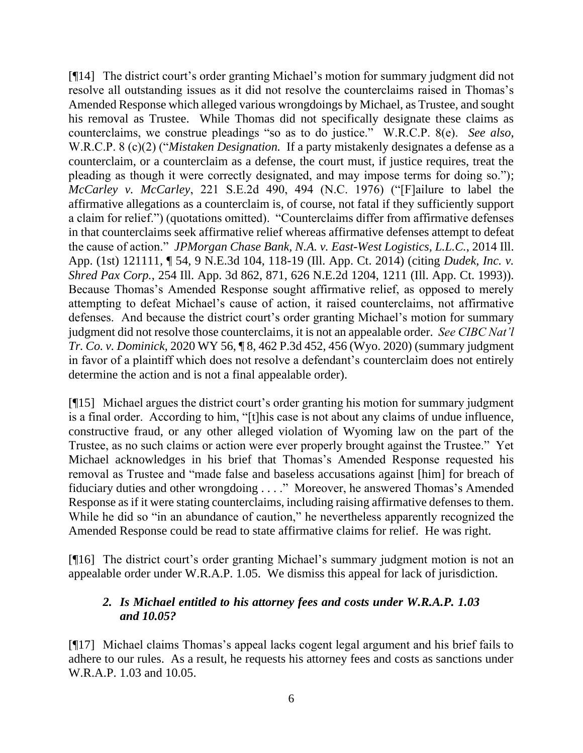[¶14] The district court's order granting Michael's motion for summary judgment did not resolve all outstanding issues as it did not resolve the counterclaims raised in Thomas's Amended Response which alleged various wrongdoings by Michael, as Trustee, and sought his removal as Trustee. While Thomas did not specifically designate these claims as counterclaims, we construe pleadings "so as to do justice." W.R.C.P. 8(e). *See also*, W.R.C.P. 8 (c)(2) ("*Mistaken Designation.* If a party mistakenly designates a defense as a counterclaim, or a counterclaim as a defense, the court must, if justice requires, treat the pleading as though it were correctly designated, and may impose terms for doing so."); *McCarley v. McCarley*, 221 S.E.2d 490, 494 (N.C. 1976) ("[F]ailure to label the affirmative allegations as a counterclaim is, of course, not fatal if they sufficiently support a claim for relief.") (quotations omitted). "Counterclaims differ from affirmative defenses in that counterclaims seek affirmative relief whereas affirmative defenses attempt to defeat the cause of action." *JPMorgan Chase Bank, N.A. v. East-West Logistics, L.L.C.*, 2014 Ill. App. (1st) 121111, ¶ 54, 9 N.E.3d 104, 118-19 (Ill. App. Ct. 2014) (citing *Dudek, Inc. v. Shred Pax Corp.*, 254 Ill. App. 3d 862, 871, 626 N.E.2d 1204, 1211 (Ill. App. Ct. 1993)). Because Thomas's Amended Response sought affirmative relief, as opposed to merely attempting to defeat Michael's cause of action, it raised counterclaims, not affirmative defenses. And because the district court's order granting Michael's motion for summary judgment did not resolve those counterclaims, it is not an appealable order. *See CIBC Nat'l Tr. Co. v. Dominick*, 2020 WY 56, ¶ 8, 462 P.3d 452, 456 (Wyo. 2020) (summary judgment in favor of a plaintiff which does not resolve a defendant's counterclaim does not entirely determine the action and is not a final appealable order).

[¶15] Michael argues the district court's order granting his motion for summary judgment is a final order. According to him, "[t]his case is not about any claims of undue influence, constructive fraud, or any other alleged violation of Wyoming law on the part of the Trustee, as no such claims or action were ever properly brought against the Trustee." Yet Michael acknowledges in his brief that Thomas's Amended Response requested his removal as Trustee and "made false and baseless accusations against [him] for breach of fiduciary duties and other wrongdoing . . . ." Moreover, he answered Thomas's Amended Response as if it were stating counterclaims, including raising affirmative defenses to them. While he did so "in an abundance of caution," he nevertheless apparently recognized the Amended Response could be read to state affirmative claims for relief. He was right.

[¶16] The district court's order granting Michael's summary judgment motion is not an appealable order under W.R.A.P. 1.05. We dismiss this appeal for lack of jurisdiction.

# *2. Is Michael entitled to his attorney fees and costs under W.R.A.P. 1.03 and 10.05?*

[¶17] Michael claims Thomas's appeal lacks cogent legal argument and his brief fails to adhere to our rules. As a result, he requests his attorney fees and costs as sanctions under W.R.A.P. 1.03 and 10.05.